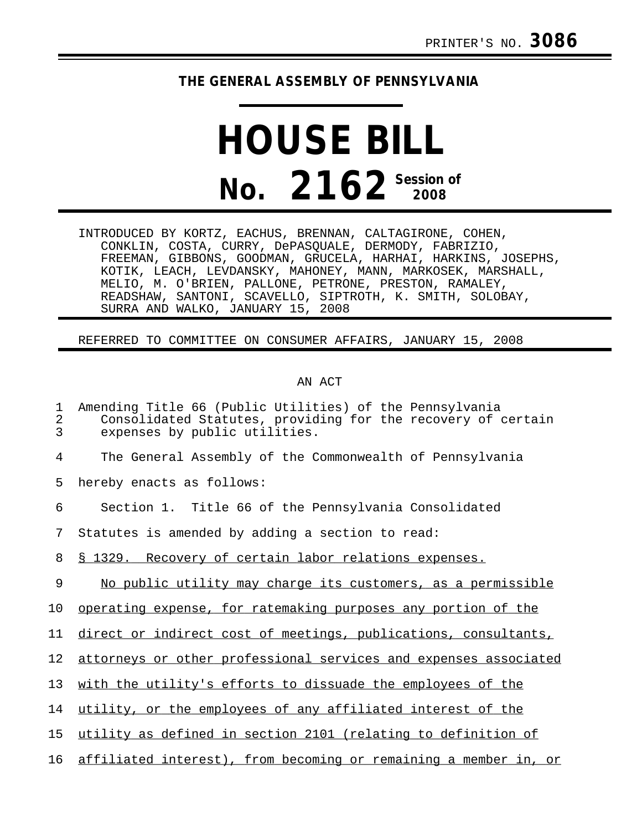## **THE GENERAL ASSEMBLY OF PENNSYLVANIA**

## **HOUSE BILL No. 2162 Session of**

INTRODUCED BY KORTZ, EACHUS, BRENNAN, CALTAGIRONE, COHEN, CONKLIN, COSTA, CURRY, DePASQUALE, DERMODY, FABRIZIO, FREEMAN, GIBBONS, GOODMAN, GRUCELA, HARHAI, HARKINS, JOSEPHS, KOTIK, LEACH, LEVDANSKY, MAHONEY, MANN, MARKOSEK, MARSHALL, MELIO, M. O'BRIEN, PALLONE, PETRONE, PRESTON, RAMALEY, READSHAW, SANTONI, SCAVELLO, SIPTROTH, K. SMITH, SOLOBAY, SURRA AND WALKO, JANUARY 15, 2008

## REFERRED TO COMMITTEE ON CONSUMER AFFAIRS, JANUARY 15, 2008

## AN ACT

| 1<br>2<br>3     | Amending Title 66 (Public Utilities) of the Pennsylvania<br>Consolidated Statutes, providing for the recovery of certain<br>expenses by public utilities. |
|-----------------|-----------------------------------------------------------------------------------------------------------------------------------------------------------|
| 4               | The General Assembly of the Commonwealth of Pennsylvania                                                                                                  |
| 5               | hereby enacts as follows:                                                                                                                                 |
| 6               | Section 1. Title 66 of the Pennsylvania Consolidated                                                                                                      |
| 7               | Statutes is amended by adding a section to read:                                                                                                          |
| 8               | § 1329. Recovery of certain labor relations expenses.                                                                                                     |
| 9               | No public utility may charge its customers, as a permissible                                                                                              |
| 10              | operating expense, for ratemaking purposes any portion of the                                                                                             |
| 11              | direct or indirect cost of meetings, publications, consultants,                                                                                           |
| 12 <sub>1</sub> | attorneys or other professional services and expenses associated                                                                                          |
| 13              | with the utility's efforts to dissuade the employees of the                                                                                               |
| 14              | utility, or the employees of any affiliated interest of the                                                                                               |
| 15              | utility as defined in section 2101 (relating to definition of                                                                                             |
| 16              | affiliated interest), from becoming or remaining a member in, or                                                                                          |